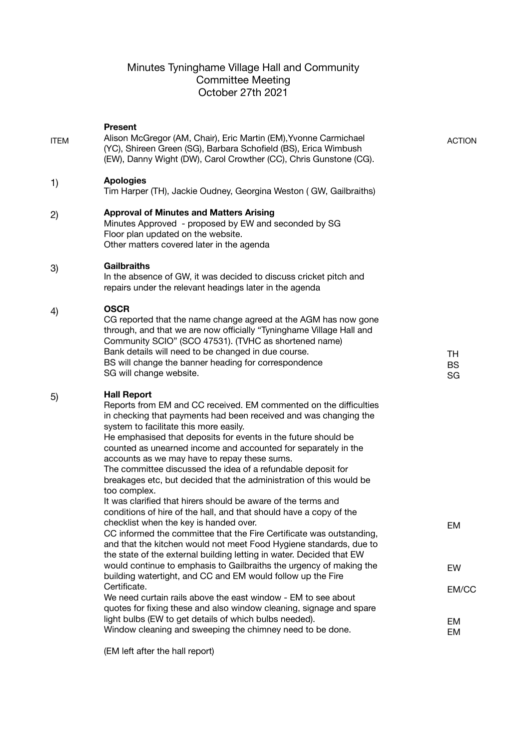# Minutes Tyninghame Village Hall and Community Committee Meeting October 27th 2021

| <b>ITEM</b> | <b>Present</b><br>Alison McGregor (AM, Chair), Eric Martin (EM), Yvonne Carmichael<br>(YC), Shireen Green (SG), Barbara Schofield (BS), Erica Wimbush<br>(EW), Danny Wight (DW), Carol Crowther (CC), Chris Gunstone (CG).                                                                                                                                                                                                                                                                                                                                                                                                                                                              | <b>ACTION</b>         |
|-------------|-----------------------------------------------------------------------------------------------------------------------------------------------------------------------------------------------------------------------------------------------------------------------------------------------------------------------------------------------------------------------------------------------------------------------------------------------------------------------------------------------------------------------------------------------------------------------------------------------------------------------------------------------------------------------------------------|-----------------------|
| 1)          | <b>Apologies</b><br>Tim Harper (TH), Jackie Oudney, Georgina Weston (GW, Gailbraiths)                                                                                                                                                                                                                                                                                                                                                                                                                                                                                                                                                                                                   |                       |
| 2)          | <b>Approval of Minutes and Matters Arising</b><br>Minutes Approved - proposed by EW and seconded by SG<br>Floor plan updated on the website.<br>Other matters covered later in the agenda                                                                                                                                                                                                                                                                                                                                                                                                                                                                                               |                       |
| 3)          | <b>Gailbraiths</b><br>In the absence of GW, it was decided to discuss cricket pitch and<br>repairs under the relevant headings later in the agenda                                                                                                                                                                                                                                                                                                                                                                                                                                                                                                                                      |                       |
| 4)          | <b>OSCR</b><br>CG reported that the name change agreed at the AGM has now gone<br>through, and that we are now officially "Tyninghame Village Hall and<br>Community SCIO" (SCO 47531). (TVHC as shortened name)<br>Bank details will need to be changed in due course.<br>BS will change the banner heading for correspondence<br>SG will change website.                                                                                                                                                                                                                                                                                                                               | TH<br><b>BS</b><br>SG |
| 5)          | <b>Hall Report</b><br>Reports from EM and CC received. EM commented on the difficulties<br>in checking that payments had been received and was changing the<br>system to facilitate this more easily.<br>He emphasised that deposits for events in the future should be<br>counted as unearned income and accounted for separately in the<br>accounts as we may have to repay these sums.<br>The committee discussed the idea of a refundable deposit for<br>breakages etc, but decided that the administration of this would be<br>too complex.<br>It was clarified that hirers should be aware of the terms and<br>conditions of hire of the hall, and that should have a copy of the |                       |
|             | checklist when the key is handed over.<br>CC informed the committee that the Fire Certificate was outstanding,<br>and that the kitchen would not meet Food Hygiene standards, due to<br>the state of the external building letting in water. Decided that EW                                                                                                                                                                                                                                                                                                                                                                                                                            | EM                    |
|             | would continue to emphasis to Gailbraiths the urgency of making the<br>building watertight, and CC and EM would follow up the Fire                                                                                                                                                                                                                                                                                                                                                                                                                                                                                                                                                      | EW                    |
|             | Certificate.<br>We need curtain rails above the east window - EM to see about<br>quotes for fixing these and also window cleaning, signage and spare                                                                                                                                                                                                                                                                                                                                                                                                                                                                                                                                    | EM/CC                 |
|             | light bulbs (EW to get details of which bulbs needed).<br>Window cleaning and sweeping the chimney need to be done.                                                                                                                                                                                                                                                                                                                                                                                                                                                                                                                                                                     | EM<br>EM              |

(EM left after the hall report)